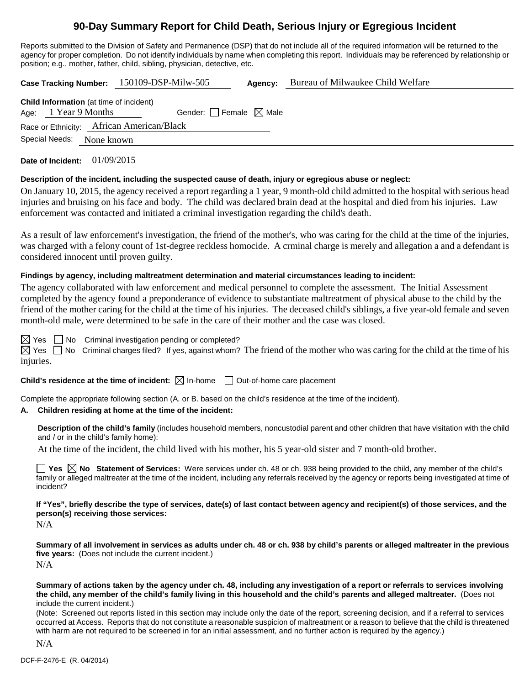### **90-Day Summary Report for Child Death, Serious Injury or Egregious Incident**

Reports submitted to the Division of Safety and Permanence (DSP) that do not include all of the required information will be returned to the agency for proper completion. Do not identify individuals by name when completing this report. Individuals may be referenced by relationship or position; e.g., mother, father, child, sibling, physician, detective, etc.

**Case Tracking Number:** 150109-DSP-Milw-505 **Agency:** Bureau of Milwaukee Child Welfare

| <b>Child Information</b> (at time of incident) |                      |                                 |  |  |  |  |
|------------------------------------------------|----------------------|---------------------------------|--|--|--|--|
|                                                | Age: 1 Year 9 Months | Gender: Female $\boxtimes$ Male |  |  |  |  |
| Race or Ethnicity: African American/Black      |                      |                                 |  |  |  |  |
| Special Needs: None known                      |                      |                                 |  |  |  |  |

**Date of Incident:** 01/09/2015

#### **Description of the incident, including the suspected cause of death, injury or egregious abuse or neglect:**

On January 10, 2015, the agency received a report regarding a 1 year, 9 month-old child admitted to the hospital with serious head injuries and bruising on his face and body. The child was declared brain dead at the hospital and died from his injuries. Law enforcement was contacted and initiated a criminal investigation regarding the child's death.

As a result of law enforcement's investigation, the friend of the mother's, who was caring for the child at the time of the injuries, was charged with a felony count of 1st-degree reckless homocide. A crminal charge is merely and allegation a and a defendant is considered innocent until proven guilty.

#### **Findings by agency, including maltreatment determination and material circumstances leading to incident:**

The agency collaborated with law enforcement and medical personnel to complete the assessment. The Initial Assessment completed by the agency found a preponderance of evidence to substantiate maltreatment of physical abuse to the child by the friend of the mother caring for the child at the time of his injuries. The deceased child's siblings, a five year-old female and seven month-old male, were determined to be safe in the care of their mother and the case was closed.

 $\boxtimes$  Yes  $\Box$  No Criminal investigation pending or completed?

 $\boxtimes$  Yes  $\Box$  No Criminal charges filed? If yes, against whom? The friend of the mother who was caring for the child at the time of his injuries.

**Child's residence at the time of incident:**  $\boxtimes$  In-home  $\Box$  Out-of-home care placement

Complete the appropriate following section (A. or B. based on the child's residence at the time of the incident).

#### **A. Children residing at home at the time of the incident:**

**Description of the child's family** (includes household members, noncustodial parent and other children that have visitation with the child and / or in the child's family home):

At the time of the incident, the child lived with his mother, his 5 year-old sister and 7 month-old brother.

**Yes**  $\boxtimes$  **No** Statement of Services: Were services under ch. 48 or ch. 938 being provided to the child, any member of the child's family or alleged maltreater at the time of the incident, including any referrals received by the agency or reports being investigated at time of incident?

**If "Yes", briefly describe the type of services, date(s) of last contact between agency and recipient(s) of those services, and the person(s) receiving those services:**

N/A

**Summary of all involvement in services as adults under ch. 48 or ch. 938 by child's parents or alleged maltreater in the previous five years:** (Does not include the current incident.) N/A

**Summary of actions taken by the agency under ch. 48, including any investigation of a report or referrals to services involving the child, any member of the child's family living in this household and the child's parents and alleged maltreater.** (Does not include the current incident.)

(Note: Screened out reports listed in this section may include only the date of the report, screening decision, and if a referral to services occurred at Access. Reports that do not constitute a reasonable suspicion of maltreatment or a reason to believe that the child is threatened with harm are not required to be screened in for an initial assessment, and no further action is required by the agency.)

N/A